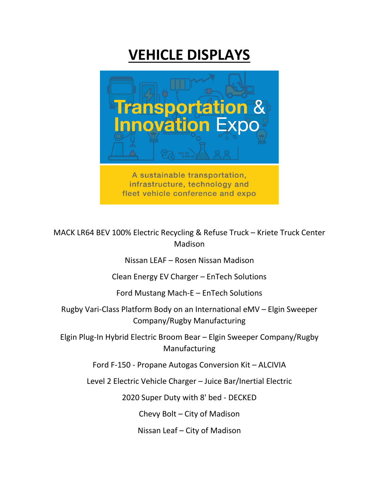## **VEHICLE DISPLAYS**



MACK LR64 BEV 100% Electric Recycling & Refuse Truck – Kriete Truck Center Madison

Nissan LEAF – Rosen Nissan Madison

Clean Energy EV Charger – EnTech Solutions

Ford Mustang Mach-E – EnTech Solutions

Rugby Vari-Class Platform Body on an International eMV – Elgin Sweeper Company/Rugby Manufacturing

Elgin Plug-In Hybrid Electric Broom Bear – Elgin Sweeper Company/Rugby Manufacturing

Ford F-150 - Propane Autogas Conversion Kit – ALCIVIA

Level 2 Electric Vehicle Charger – Juice Bar/Inertial Electric

2020 Super Duty with 8' bed - DECKED

Chevy Bolt – City of Madison

Nissan Leaf – City of Madison